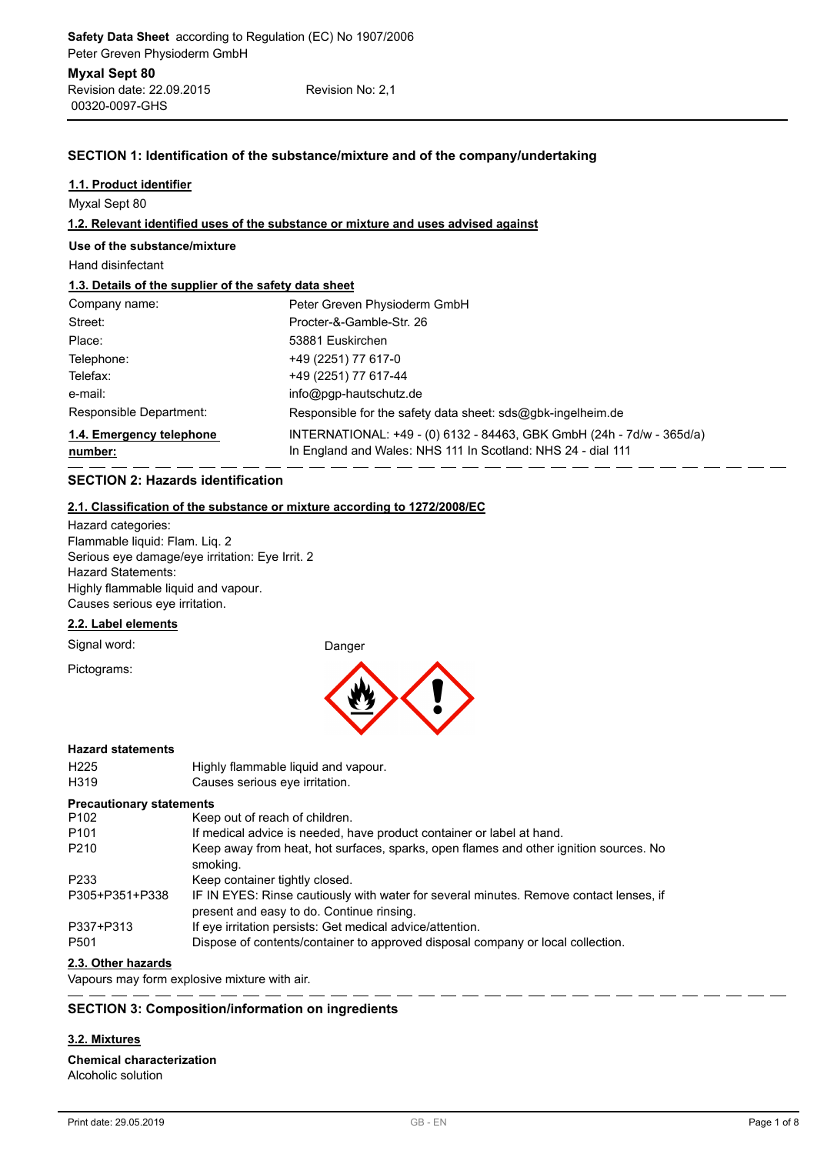| Revision date: 22.09.2015 | Revision No: 2,1 |
|---------------------------|------------------|
| 00320-0097-GHS            |                  |

# **SECTION 1: Identification of the substance/mixture and of the company/undertaking**

# **1.1. Product identifier**

Myxal Sept 80

## **1.2. Relevant identified uses of the substance or mixture and uses advised against**

### **Use of the substance/mixture**

Hand disinfectant

# **1.3. Details of the supplier of the safety data sheet**

| Company name:                       | Peter Greven Physioderm GmbH                                                                                                          |
|-------------------------------------|---------------------------------------------------------------------------------------------------------------------------------------|
| Street:                             | Procter-&-Gamble-Str. 26                                                                                                              |
| Place:                              | 53881 Euskirchen                                                                                                                      |
| Telephone:                          | +49 (2251) 77 617-0                                                                                                                   |
| Telefax:                            | +49 (2251) 77 617-44                                                                                                                  |
| e-mail:                             | $info@pqp$ -hautschutz.de                                                                                                             |
| Responsible Department:             | Responsible for the safety data sheet: $sds@q$ <sub>b</sub> k-ingelheim.de                                                            |
| 1.4. Emergency telephone<br>number: | INTERNATIONAL: +49 - (0) 6132 - 84463, GBK GmbH (24h - 7d/w - 365d/a)<br>In England and Wales: NHS 111 In Scotland: NHS 24 - dial 111 |

# **SECTION 2: Hazards identification**

### **2.1. Classification of the substance or mixture according to 1272/2008/EC**

Hazard categories: Flammable liquid: Flam. Liq. 2 Serious eye damage/eye irritation: Eye Irrit. 2 Hazard Statements: Highly flammable liquid and vapour. Causes serious eye irritation.

### **2.2. Label elements**

Signal word: Danger

Pictograms:



### **Hazard statements**

H225 Highly flammable liquid and vapour. H319 Causes serious eye irritation.

### **Precautionary statements**

| <u>I</u> recautionally statements         |                                                                                                                                     |
|-------------------------------------------|-------------------------------------------------------------------------------------------------------------------------------------|
| P <sub>102</sub>                          | Keep out of reach of children.                                                                                                      |
| P <sub>101</sub>                          | If medical advice is needed, have product container or label at hand.                                                               |
| P <sub>210</sub>                          | Keep away from heat, hot surfaces, sparks, open flames and other ignition sources. No<br>smoking.                                   |
| P <sub>2</sub> 33                         | Keep container tightly closed.                                                                                                      |
| P305+P351+P338                            | IF IN EYES: Rinse cautiously with water for several minutes. Remove contact lenses, if<br>present and easy to do. Continue rinsing. |
| P337+P313                                 | If eye irritation persists: Get medical advice/attention.                                                                           |
| P <sub>501</sub>                          | Dispose of contents/container to approved disposal company or local collection.                                                     |
| $\sim$ $\sim$ $\sim$ $\sim$ $\sim$ $\sim$ |                                                                                                                                     |

## **2.3. Other hazards**

Vapours may form explosive mixture with air.

# **SECTION 3: Composition/information on ingredients**

<u>. . . .</u>

# **3.2. Mixtures**

# **Chemical characterization**

Alcoholic solution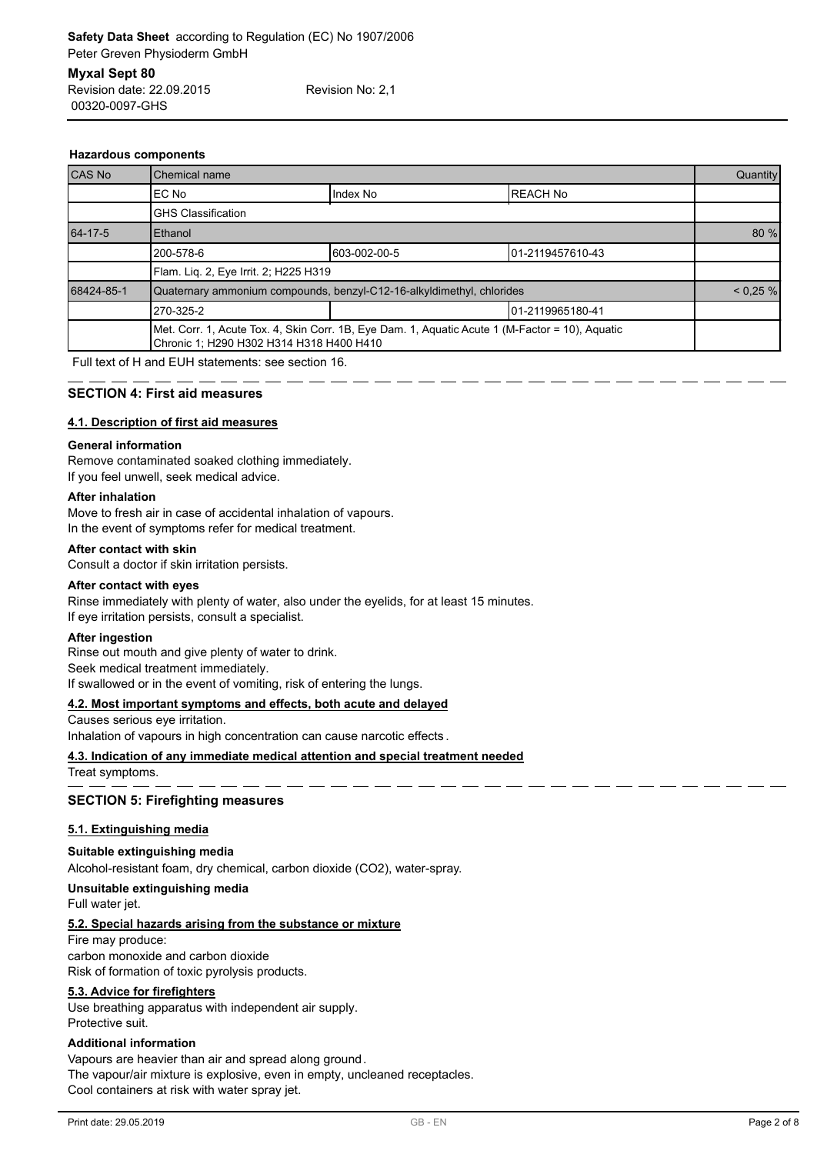| <b>Hazardous components</b> |  |
|-----------------------------|--|

00320-0097-GHS

| CAS No     | Chemical name                            |                                                                                                 | Quantity         |             |
|------------|------------------------------------------|-------------------------------------------------------------------------------------------------|------------------|-------------|
|            | IEC No                                   | Index No                                                                                        | <b>IREACH No</b> |             |
|            | <b>GHS Classification</b>                |                                                                                                 |                  |             |
| 64-17-5    | Ethanol                                  |                                                                                                 |                  | 80 %        |
|            | 200-578-6                                | 603-002-00-5                                                                                    | 01-2119457610-43 |             |
|            | Flam. Lig. 2, Eye Irrit. 2; H225 H319    |                                                                                                 |                  |             |
| 68424-85-1 |                                          | Quaternary ammonium compounds, benzyl-C12-16-alkyldimethyl, chlorides                           |                  | $< 0.25 \%$ |
|            | 270-325-2<br>101-2119965180-41           |                                                                                                 |                  |             |
|            | Chronic 1; H290 H302 H314 H318 H400 H410 | Met. Corr. 1, Acute Tox. 4, Skin Corr. 1B, Eye Dam. 1, Aquatic Acute 1 (M-Factor = 10), Aquatic |                  |             |

Full text of H and EUH statements: see section 16.

## **SECTION 4: First aid measures**

### **4.1. Description of first aid measures**

### **General information**

Remove contaminated soaked clothing immediately. If you feel unwell, seek medical advice.

### **After inhalation**

Move to fresh air in case of accidental inhalation of vapours. In the event of symptoms refer for medical treatment.

### **After contact with skin**

Consult a doctor if skin irritation persists.

### **After contact with eyes**

Rinse immediately with plenty of water, also under the eyelids, for at least 15 minutes. If eye irritation persists, consult a specialist.

### **After ingestion**

Rinse out mouth and give plenty of water to drink. Seek medical treatment immediately. If swallowed or in the event of vomiting, risk of entering the lungs.

### **4.2. Most important symptoms and effects, both acute and delayed**

Causes serious eye irritation. Inhalation of vapours in high concentration can cause narcotic effects .

# **4.3. Indication of any immediate medical attention and special treatment needed**

Treat symptoms.

### **SECTION 5: Firefighting measures**

### **5.1. Extinguishing media**

## **Suitable extinguishing media**

Alcohol-resistant foam, dry chemical, carbon dioxide (CO2), water-spray.

## **Unsuitable extinguishing media**

Full water jet.

## **5.2. Special hazards arising from the substance or mixture**

Fire may produce: carbon monoxide and carbon dioxide Risk of formation of toxic pyrolysis products.

### **5.3. Advice for firefighters**

Use breathing apparatus with independent air supply. Protective suit.

### **Additional information**

Vapours are heavier than air and spread along ground. The vapour/air mixture is explosive, even in empty, uncleaned receptacles. Cool containers at risk with water spray jet.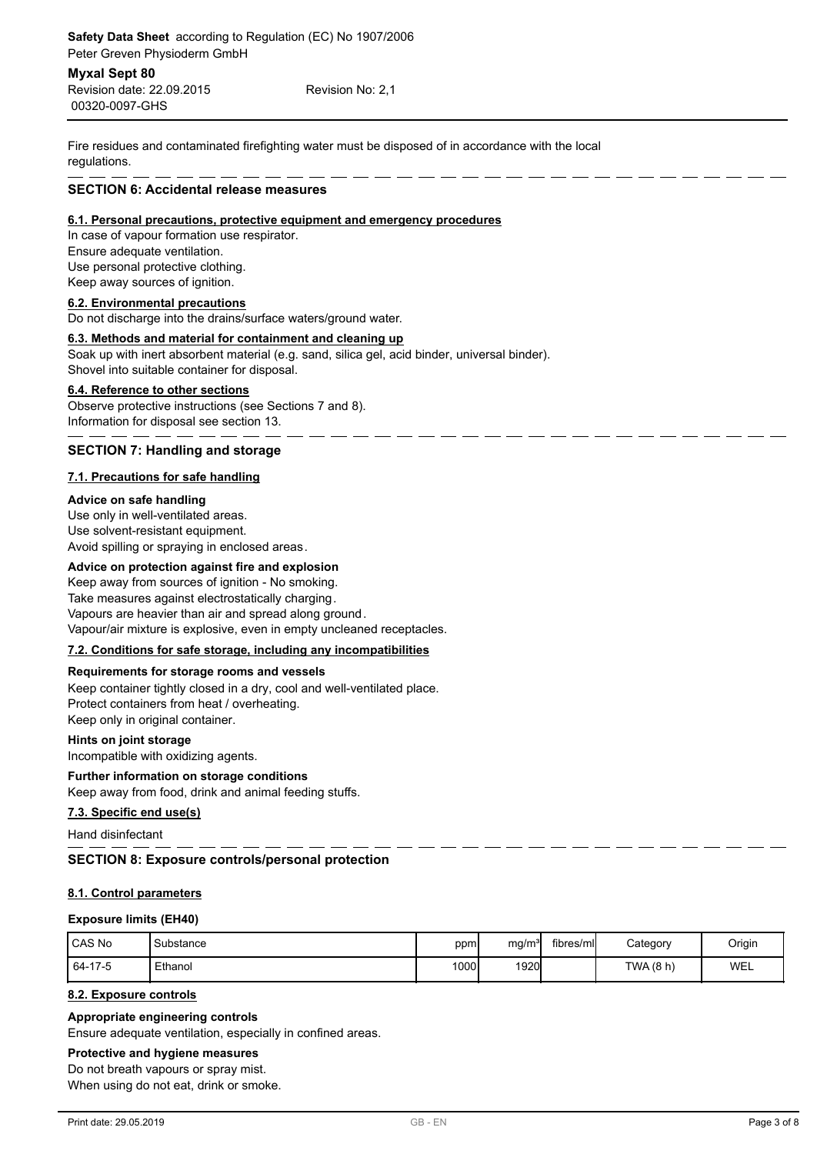00320-0097-GHS Revision date: 22.09.2015 Revision No: 2,1

Fire residues and contaminated firefighting water must be disposed of in accordance with the local regulations.

### **SECTION 6: Accidental release measures**

### **6.1. Personal precautions, protective equipment and emergency procedures**

In case of vapour formation use respirator. Ensure adequate ventilation. Use personal protective clothing. Keep away sources of ignition.

## **6.2. Environmental precautions**

Do not discharge into the drains/surface waters/ground water.

# **6.3. Methods and material for containment and cleaning up**

Soak up with inert absorbent material (e.g. sand, silica gel, acid binder, universal binder). Shovel into suitable container for disposal.

### **6.4. Reference to other sections**

Observe protective instructions (see Sections 7 and 8). Information for disposal see section 13.

## **SECTION 7: Handling and storage**

## **7.1. Precautions for safe handling**

### **Advice on safe handling**

Use only in well-ventilated areas. Use solvent-resistant equipment. Avoid spilling or spraying in enclosed areas.

### **Advice on protection against fire and explosion**

Keep away from sources of ignition - No smoking. Take measures against electrostatically charging. Vapours are heavier than air and spread along ground. Vapour/air mixture is explosive, even in empty uncleaned receptacles.

## **7.2. Conditions for safe storage, including any incompatibilities**

### **Requirements for storage rooms and vessels**

Keep container tightly closed in a dry, cool and well-ventilated place. Protect containers from heat / overheating. Keep only in original container.

### **Hints on joint storage**

Incompatible with oxidizing agents.

## **Further information on storage conditions**

Keep away from food, drink and animal feeding stuffs.

### **7.3. Specific end use(s)**

Hand disinfectant

# **SECTION 8: Exposure controls/personal protection**

# **8.1. Control parameters**

### **Exposure limits (EH40)**

| <b>ICAS No</b> | Substance | ppm  | mq/m <sup>3</sup> | fibres/ml | Category | Origin |
|----------------|-----------|------|-------------------|-----------|----------|--------|
| 64-17-5        | Ethanol   | 1000 | 1920              |           | TWA(8 h) | WEL    |

# **8.2. Exposure controls**

### **Appropriate engineering controls**

Ensure adequate ventilation, especially in confined areas.

# **Protective and hygiene measures**

Do not breath vapours or spray mist.

When using do not eat, drink or smoke.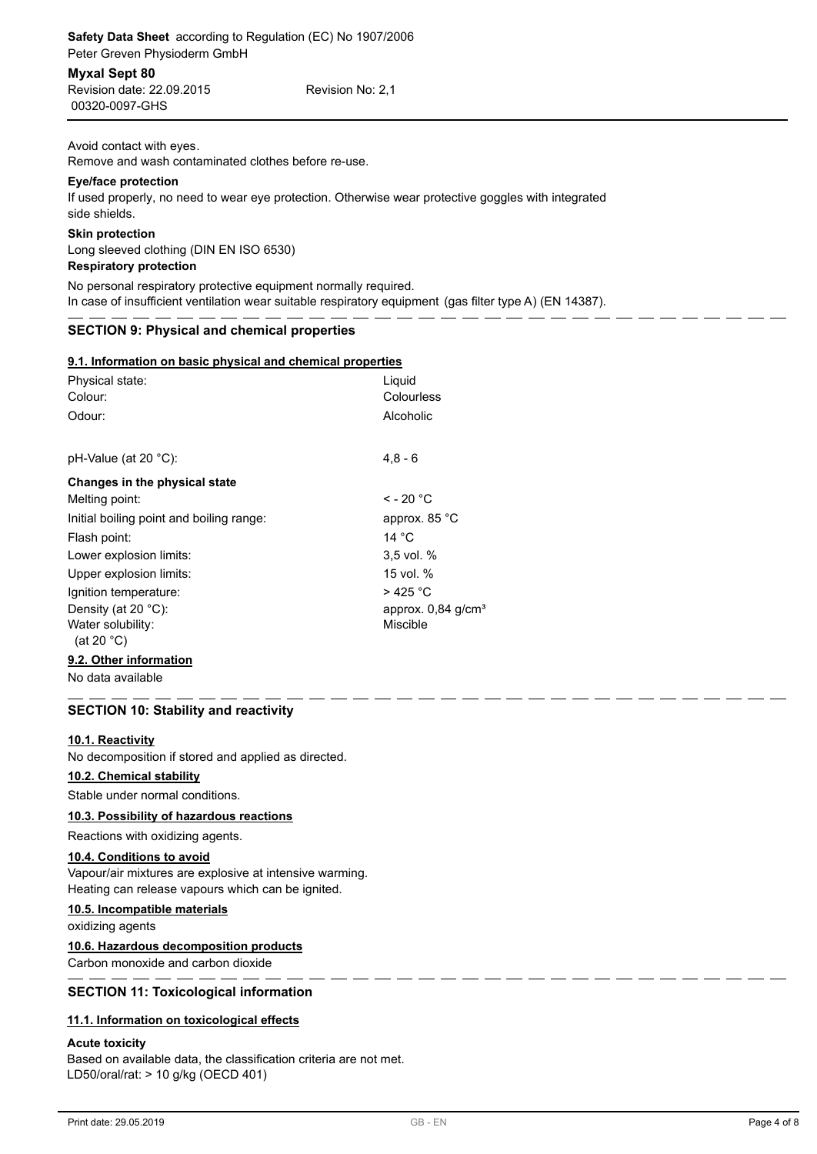| Revision date: 22.09.2015 | Revision No: 2.1 |
|---------------------------|------------------|
| 00320-0097-GHS            |                  |

Avoid contact with eyes.

Remove and wash contaminated clothes before re-use.

# **Eye/face protection**

If used properly, no need to wear eye protection. Otherwise wear protective goggles with integrated side shields.

# **Skin protection**

Long sleeved clothing (DIN EN ISO 6530) **Respiratory protection**

No personal respiratory protective equipment normally required. In case of insufficient ventilation wear suitable respiratory equipment (gas filter type A) (EN 14387).

# **SECTION 9: Physical and chemical properties**

| 9.1. Information on basic physical and chemical properties |  |  |  |
|------------------------------------------------------------|--|--|--|
|                                                            |  |  |  |

| Physical state:<br>Colour:<br>Odour:      | Liguid<br>Colourless<br>Alcoholic |
|-------------------------------------------|-----------------------------------|
|                                           |                                   |
| pH-Value (at 20 °C):                      | $4.8 - 6$                         |
| Changes in the physical state             |                                   |
| Melting point:                            | $\leq$ - 20 °C                    |
| Initial boiling point and boiling range:  | approx. 85 °C                     |
| Flash point:                              | 14 °C                             |
| Lower explosion limits:                   | $3.5$ vol. $%$                    |
| Upper explosion limits:                   | 15 vol. %                         |
| Ignition temperature:                     | >425 °C                           |
| Density (at 20 $°C$ ):                    | approx. $0,84$ g/cm <sup>3</sup>  |
| Water solubility:<br>(at 20 $^{\circ}$ C) | Miscible                          |
| 9.2. Other information                    |                                   |

No data available

# **SECTION 10: Stability and reactivity**

# **10.1. Reactivity**

No decomposition if stored and applied as directed.

# **10.2. Chemical stability**

Stable under normal conditions.

# **10.3. Possibility of hazardous reactions**

# Reactions with oxidizing agents.

# **10.4. Conditions to avoid**

Vapour/air mixtures are explosive at intensive warming. Heating can release vapours which can be ignited.

# **10.5. Incompatible materials**

oxidizing agents

# **10.6. Hazardous decomposition products**

Carbon monoxide and carbon dioxide

# **SECTION 11: Toxicological information**

# **11.1. Information on toxicological effects**

# **Acute toxicity**

Based on available data, the classification criteria are not met. LD50/oral/rat: > 10 g/kg (OECD 401)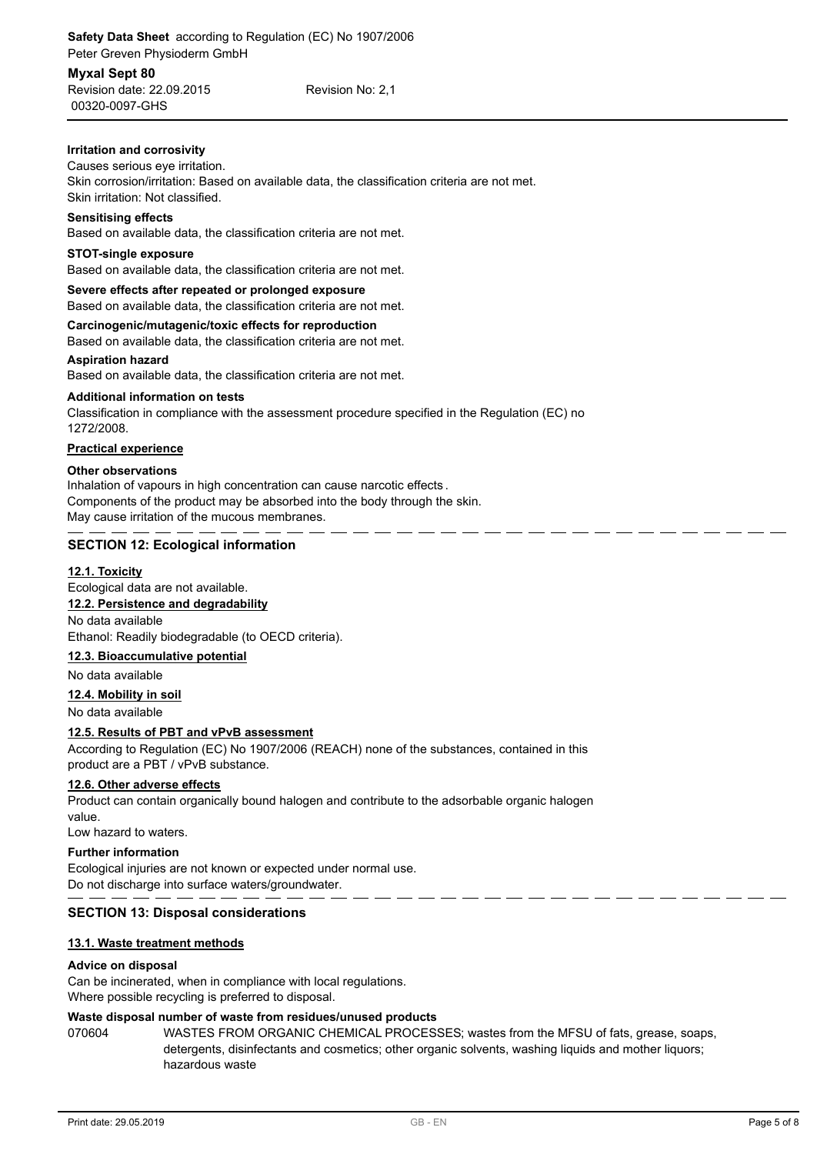00320-0097-GHS Revision date: 22.09.2015 Revision No: 2,1

# **Irritation and corrosivity**

# Causes serious eye irritation.

Skin corrosion/irritation: Based on available data, the classification criteria are not met. Skin irritation: Not classified.

## **Sensitising effects**

Based on available data, the classification criteria are not met.

# **STOT-single exposure**

Based on available data, the classification criteria are not met.

### **Severe effects after repeated or prolonged exposure**

Based on available data, the classification criteria are not met.

## **Carcinogenic/mutagenic/toxic effects for reproduction**

Based on available data, the classification criteria are not met.

## **Aspiration hazard**

Based on available data, the classification criteria are not met.

## **Additional information on tests**

Classification in compliance with the assessment procedure specified in the Regulation (EC) no 1272/2008.

# **Practical experience**

## **Other observations**

Inhalation of vapours in high concentration can cause narcotic effects . Components of the product may be absorbed into the body through the skin. May cause irritation of the mucous membranes.

# **SECTION 12: Ecological information**

# **12.1. Toxicity**

Ecological data are not available.

# **12.2. Persistence and degradability**

No data available

Ethanol: Readily biodegradable (to OECD criteria).

# **12.3. Bioaccumulative potential**

No data available

# **12.4. Mobility in soil**

No data available

# **12.5. Results of PBT and vPvB assessment**

According to Regulation (EC) No 1907/2006 (REACH) none of the substances, contained in this product are a PBT / vPvB substance.

# **12.6. Other adverse effects**

Product can contain organically bound halogen and contribute to the adsorbable organic halogen value.

Low hazard to waters.

# **Further information**

Ecological injuries are not known or expected under normal use. Do not discharge into surface waters/groundwater.

# **SECTION 13: Disposal considerations**

# **13.1. Waste treatment methods**

# **Advice on disposal**

Can be incinerated, when in compliance with local regulations. Where possible recycling is preferred to disposal.

# **Waste disposal number of waste from residues/unused products**

070604 WASTES FROM ORGANIC CHEMICAL PROCESSES; wastes from the MFSU of fats, grease, soaps, detergents, disinfectants and cosmetics; other organic solvents, washing liquids and mother liquors; hazardous waste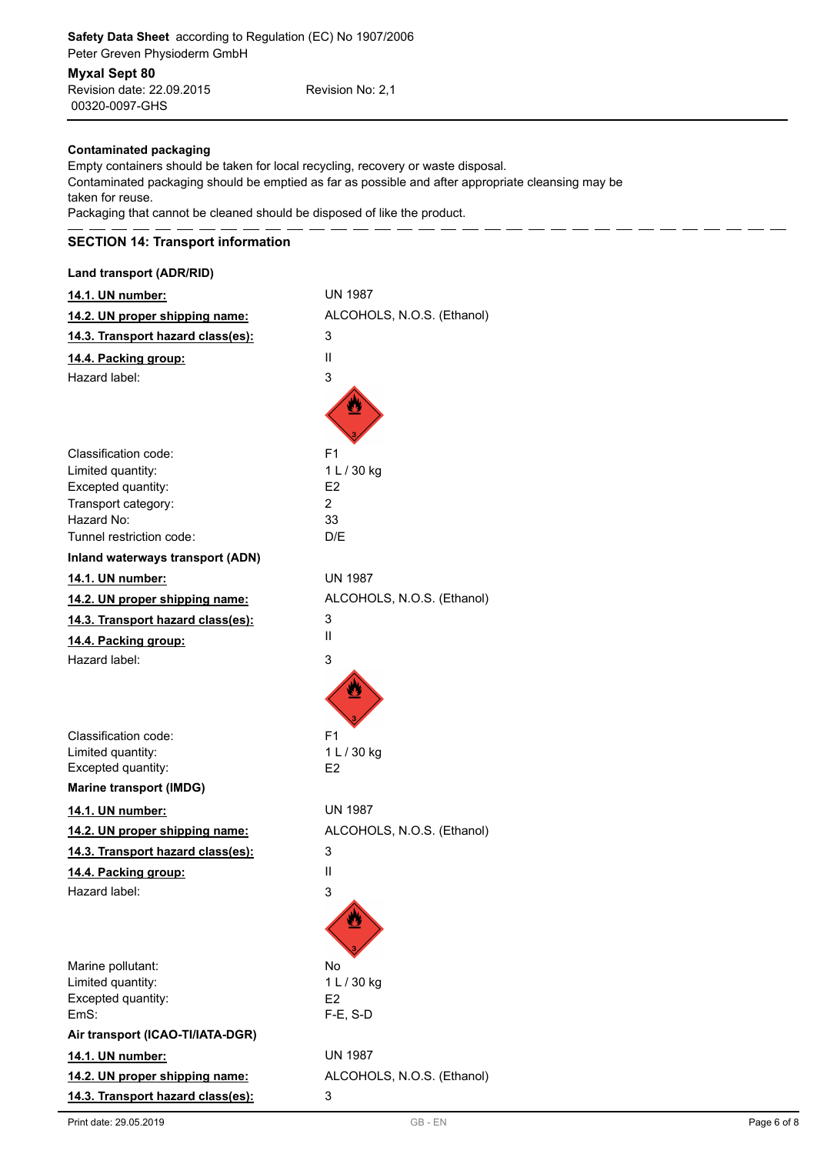00320-0097-GHS Revision date: 22.09.2015 Revision No: 2,1

# **Contaminated packaging**

Empty containers should be taken for local recycling, recovery or waste disposal. Contaminated packaging should be emptied as far as possible and after appropriate cleansing may be taken for reuse.

Packaging that cannot be cleaned should be disposed of like the product.

# **SECTION 14: Transport information**

# **Land transport (ADR/RID)**

| 14.1. UN number:                        | <b>UN 1987</b>             |
|-----------------------------------------|----------------------------|
| 14.2. UN proper shipping name:          | ALCOHOLS, N.O.S. (Ethanol) |
| 14.3. Transport hazard class(es):       | 3                          |
| 14.4. Packing group:                    | Ш                          |
| Hazard label:                           | 3                          |
|                                         |                            |
|                                         |                            |
|                                         |                            |
| Classification code:                    | F <sub>1</sub>             |
| Limited quantity:                       | 1 L / 30 kg                |
| Excepted quantity:                      | E <sub>2</sub><br>2        |
| Transport category:<br>Hazard No:       | 33                         |
| Tunnel restriction code:                | D/E                        |
| Inland waterways transport (ADN)        |                            |
| 14.1. UN number:                        | <b>UN 1987</b>             |
| 14.2. UN proper shipping name:          | ALCOHOLS, N.O.S. (Ethanol) |
| 14.3. Transport hazard class(es):       | 3                          |
| 14.4. Packing group:                    | Ш                          |
| Hazard label:                           | 3                          |
|                                         |                            |
|                                         |                            |
|                                         |                            |
| Classification code:                    | F <sub>1</sub>             |
| Limited quantity:                       | 1 L / 30 kg                |
| Excepted quantity:                      | E2                         |
| <b>Marine transport (IMDG)</b>          |                            |
| 14.1. UN number:                        | <b>UN 1987</b>             |
| 14.2. UN proper shipping name:          | ALCOHOLS, N.O.S. (Ethanol) |
| 14.3. Transport hazard class(es):       | 3                          |
| 14.4. Packing group:                    | Ш                          |
| Hazard label:                           | 3                          |
|                                         |                            |
|                                         |                            |
|                                         |                            |
| Marine pollutant:                       | No                         |
| Limited quantity:<br>Excepted quantity: | 1 L / 30 kg<br>E2          |
| EmS:                                    | $F-E$ , S-D                |
| Air transport (ICAO-TI/IATA-DGR)        |                            |
| 14.1. UN number:                        | <b>UN 1987</b>             |
| 14.2. UN proper shipping name:          | ALCOHOLS, N.O.S. (Ethanol) |
| 14.3. Transport hazard class(es):       | 3                          |
|                                         |                            |

 $-$ 

 $=$   $-$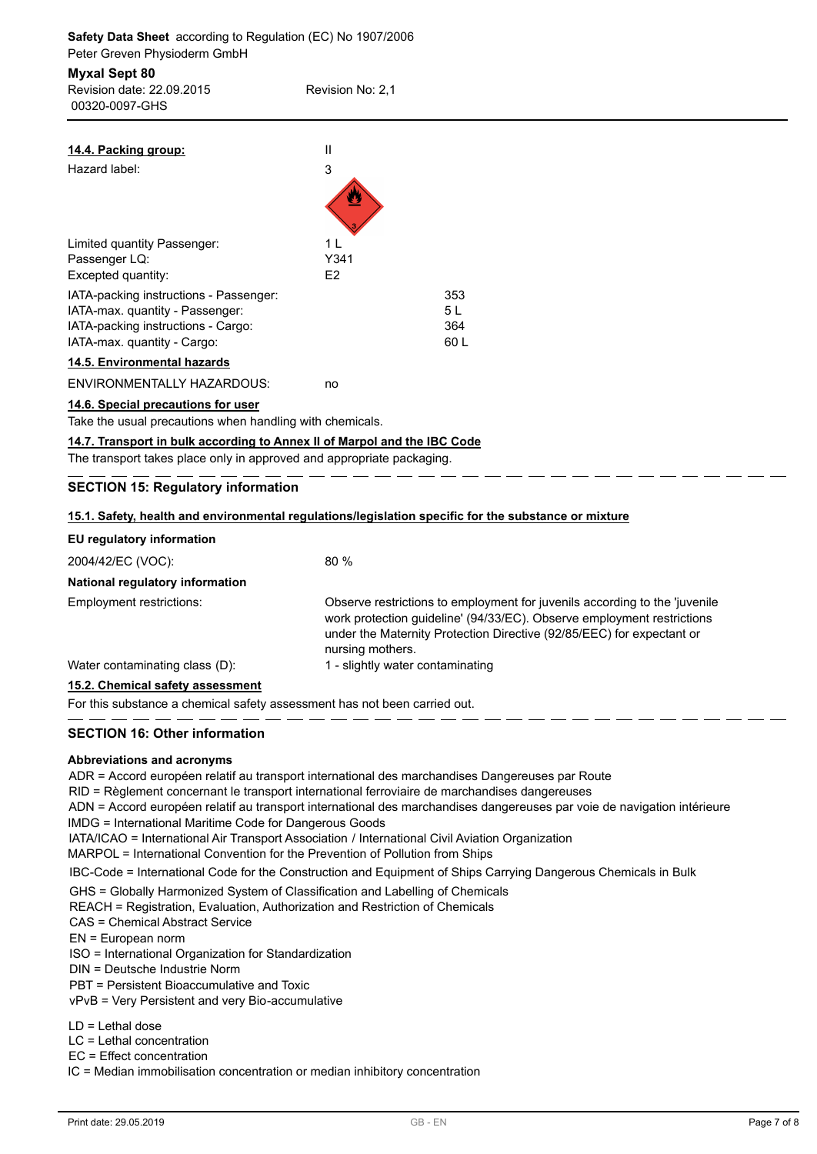| <b>Myxal Sept 80</b><br>Revision date: 22.09.2015<br>00320-0097-GHS      | Revision No: 2,1 |     |  |
|--------------------------------------------------------------------------|------------------|-----|--|
| 14.4. Packing group:                                                     | $\mathbf{II}$    |     |  |
| Hazard label:                                                            | 3                |     |  |
| Limited quantity Passenger:                                              | 1 <sub>L</sub>   |     |  |
| Passenger LQ:                                                            | Y341             |     |  |
| Excepted quantity:                                                       | E2               |     |  |
| IATA-packing instructions - Passenger:                                   |                  | 353 |  |
| IATA-max. quantity - Passenger:                                          |                  | 5L  |  |
| IATA-packing instructions - Cargo:                                       |                  | 364 |  |
| IATA-max. quantity - Cargo:                                              |                  | 60L |  |
| 14.5. Environmental hazards                                              |                  |     |  |
| ENVIRONMENTALLY HAZARDOUS:                                               | no               |     |  |
| 14.6. Special precautions for user                                       |                  |     |  |
| Take the usual precautions when handling with chemicals.                 |                  |     |  |
| 14.7. Transport in bulk according to Annex II of Marpol and the IBC Code |                  |     |  |
| The transport takes place only in approved and appropriate packaging.    |                  |     |  |

|                                      | 15.1. Safety, health and environmental requiditions/legislation specific for the substance of mixture                                                                                                                                             |
|--------------------------------------|---------------------------------------------------------------------------------------------------------------------------------------------------------------------------------------------------------------------------------------------------|
| EU regulatory information            |                                                                                                                                                                                                                                                   |
| 2004/42/EC (VOC):                    | 80%                                                                                                                                                                                                                                               |
| National regulatory information      |                                                                                                                                                                                                                                                   |
| Employment restrictions:             | Observe restrictions to employment for juvenils according to the 'juvenile<br>work protection guideline' (94/33/EC). Observe employment restrictions<br>under the Maternity Protection Directive (92/85/EEC) for expectant or<br>nursing mothers. |
| Water contaminating class (D):       | 1 - slightly water contaminating                                                                                                                                                                                                                  |
| $\mathbf{A} = \mathbf{A} \mathbf{A}$ |                                                                                                                                                                                                                                                   |

### **15.2. Chemical safety assessment**

For this substance a chemical safety assessment has not been carried out.

### **SECTION 16: Other information**

### **Abbreviations and acronyms**

ADR = Accord européen relatif au transport international des marchandises Dangereuses par Route

RID = Règlement concernant le transport international ferroviaire de marchandises dangereuses

ADN = Accord européen relatif au transport international des marchandises dangereuses par voie de navigation intérieure IMDG = International Maritime Code for Dangerous Goods

IATA/ICAO = International Air Transport Association / International Civil Aviation Organization

MARPOL = International Convention for the Prevention of Pollution from Ships

IBC-Code = International Code for the Construction and Equipment of Ships Carrying Dangerous Chemicals in Bulk

GHS = Globally Harmonized System of Classification and Labelling of Chemicals

REACH = Registration, Evaluation, Authorization and Restriction of Chemicals

CAS = Chemical Abstract Service

EN = European norm

ISO = International Organization for Standardization

DIN = Deutsche Industrie Norm

PBT = Persistent Bioaccumulative and Toxic

vPvB = Very Persistent and very Bio-accumulative

LD = Lethal dose

LC = Lethal concentration

EC = Effect concentration

IC = Median immobilisation concentration or median inhibitory concentration